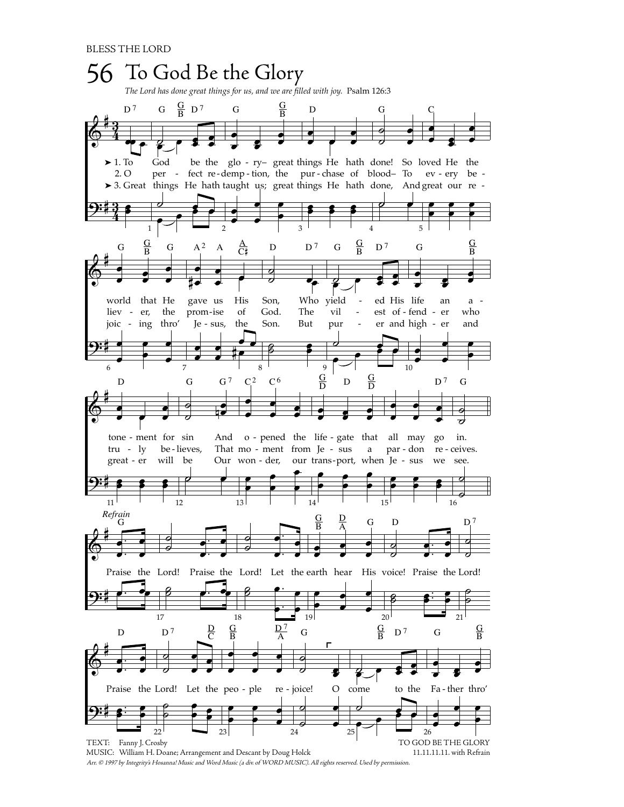

Arr. © 1997 by Integrity's Hosanna! Music and Word Music (a div. of WORD MUSIC). All rights reserved. Used by permission.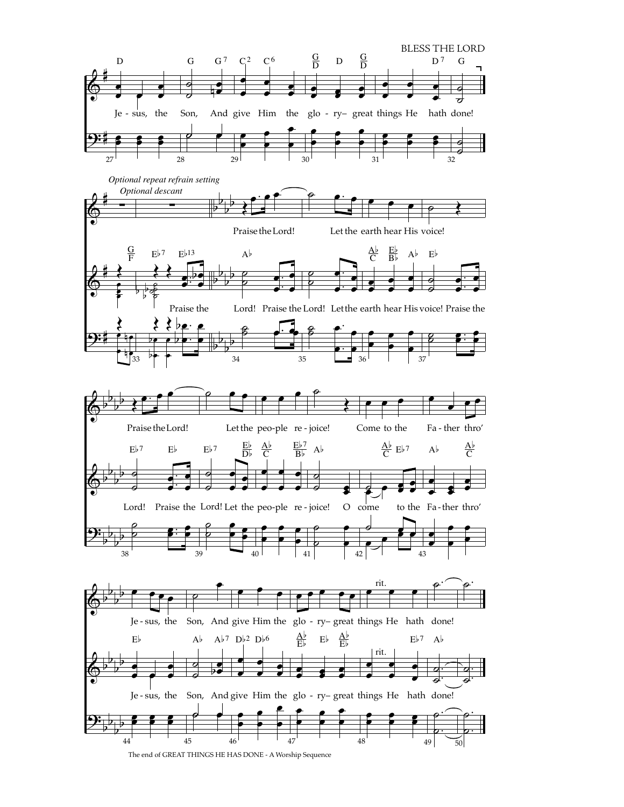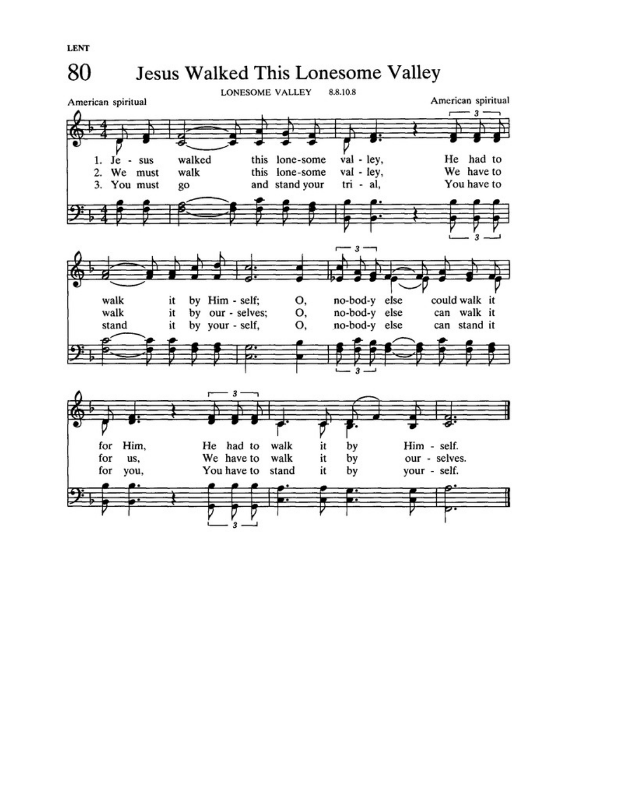



**LENT**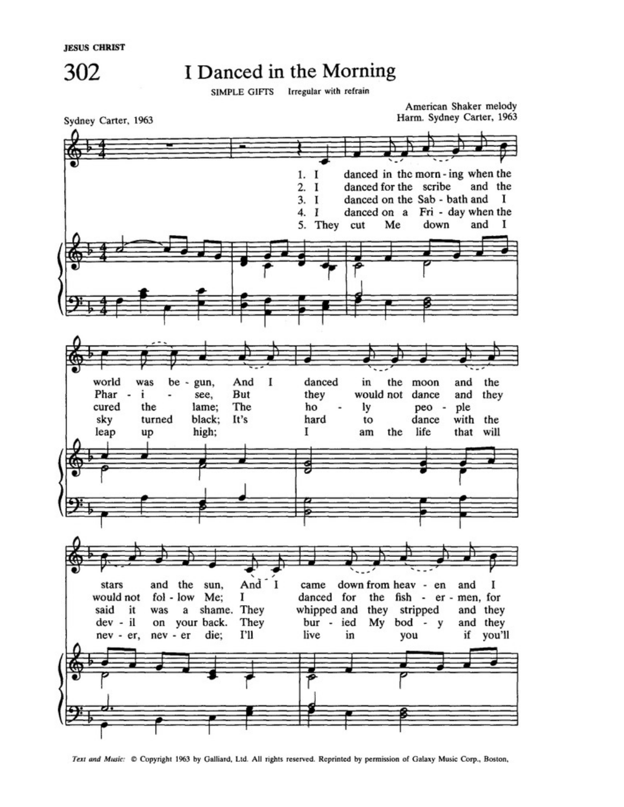

## I Danced in the Morning

SIMPLE GIFTS Irregular with refrain



Text and Music: C Copyright 1963 by Galliard, Ltd. All rights reserved. Reprinted by permission of Galaxy Music Corp., Boston,